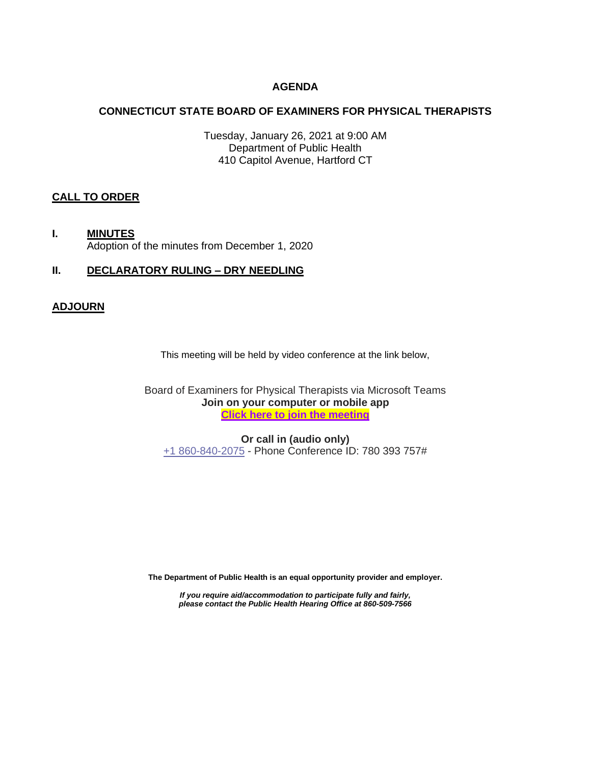# **AGENDA**

## **CONNECTICUT STATE BOARD OF EXAMINERS FOR PHYSICAL THERAPISTS**

Tuesday, January 26, 2021 at 9:00 AM Department of Public Health 410 Capitol Avenue, Hartford CT

### **CALL TO ORDER**

**I. MINUTES** Adoption of the minutes from December 1, 2020

# **II. DECLARATORY RULING – DRY NEEDLING**

### **ADJOURN**

This meeting will be held by video conference at the link below,

Board of Examiners for Physical Therapists via Microsoft Teams **Join on your computer or mobile app [Click here to join the meeting](https://teams.microsoft.com/l/meetup-join/19%3ameeting_YmM2OGNiMDItNDk3MS00NjJhLWIyNDYtNWY1NzQ2ZjdkMGZm%40thread.v2/0?context=%7b%22Tid%22%3a%22118b7cfa-a3dd-48b9-b026-31ff69bb738b%22%2c%22Oid%22%3a%22735c43f2-4aee-4b5f-b05e-0c535078f579%22%7d)**

**Or call in (audio only)** [+1 860-840-2075](tel:+18608402075,,780393757# ) - Phone Conference ID: 780 393 757#

**The Department of Public Health is an equal opportunity provider and employer.**

*If you require aid/accommodation to participate fully and fairly, please contact the Public Health Hearing Office at 860-509-7566*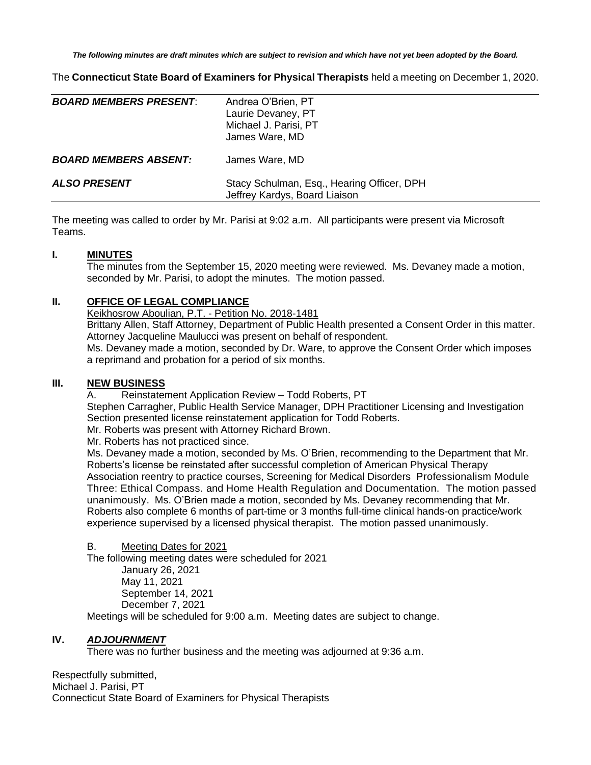*The following minutes are draft minutes which are subject to revision and which have not yet been adopted by the Board.*

The **Connecticut State Board of Examiners for Physical Therapists** held a meeting on December 1, 2020.

| <b>BOARD MEMBERS PRESENT:</b> | Andrea O'Brien, PT<br>Laurie Devaney, PT<br>Michael J. Parisi, PT<br>James Ware, MD |
|-------------------------------|-------------------------------------------------------------------------------------|
| <b>BOARD MEMBERS ABSENT:</b>  | James Ware, MD                                                                      |
| <b>ALSO PRESENT</b>           | Stacy Schulman, Esq., Hearing Officer, DPH<br>Jeffrey Kardys, Board Liaison         |

The meeting was called to order by Mr. Parisi at 9:02 a.m. All participants were present via Microsoft Teams.

### **I. MINUTES**

The minutes from the September 15, 2020 meeting were reviewed. Ms. Devaney made a motion, seconded by Mr. Parisi, to adopt the minutes. The motion passed.

### **II. OFFICE OF LEGAL COMPLIANCE**

Keikhosrow Aboulian, P.T. - Petition No. 2018-1481

Brittany Allen, Staff Attorney, Department of Public Health presented a Consent Order in this matter. Attorney Jacqueline Maulucci was present on behalf of respondent.

Ms. Devaney made a motion, seconded by Dr. Ware, to approve the Consent Order which imposes a reprimand and probation for a period of six months.

## **III. NEW BUSINESS**

A. Reinstatement Application Review – Todd Roberts, PT

Stephen Carragher, Public Health Service Manager, DPH Practitioner Licensing and Investigation Section presented license reinstatement application for Todd Roberts.

Mr. Roberts was present with Attorney Richard Brown.

Mr. Roberts has not practiced since.

Ms. Devaney made a motion, seconded by Ms. O'Brien, recommending to the Department that Mr. Roberts's license be reinstated after successful completion of American Physical Therapy Association reentry to practice courses, Screening for Medical Disorders [Professionalism Module](http://learningcenter.apta.org/student/MyCourse.aspx?id=f2912797-d871-49f7-9193-b2b84933cc32&categoryid=&programid=dcca7f06-4cd9-4530-b9d3-4ef7d2717b5d&returnUrl=Student/Catalogue/BrowseCatalogue.aspx)  [Three: Ethical Compass.](http://learningcenter.apta.org/student/MyCourse.aspx?id=f2912797-d871-49f7-9193-b2b84933cc32&categoryid=&programid=dcca7f06-4cd9-4530-b9d3-4ef7d2717b5d&returnUrl=Student/Catalogue/BrowseCatalogue.aspx) and [Home Health Regulation and Documentation.](http://learningcenter.apta.org/student/MyCourse.aspx?id=0f5bcca4-3fe2-4504-a195-436bd7edf78c&programid=dcca7f06-4cd9-4530-b9d3-4ef7d2717b5d) The motion passed unanimously. Ms. O'Brien made a motion, seconded by Ms. Devaney recommending that Mr. Roberts also complete 6 months of part-time or 3 months full-time clinical hands-on practice/work experience supervised by a licensed physical therapist. The motion passed unanimously.

#### B. Meeting Dates for 2021

The following meeting dates were scheduled for 2021

January 26, 2021 May 11, 2021 September 14, 2021 December 7, 2021

Meetings will be scheduled for 9:00 a.m. Meeting dates are subject to change.

# **IV.** *ADJOURNMENT*

There was no further business and the meeting was adjourned at 9:36 a.m.

Respectfully submitted, Michael J. Parisi, PT Connecticut State Board of Examiners for Physical Therapists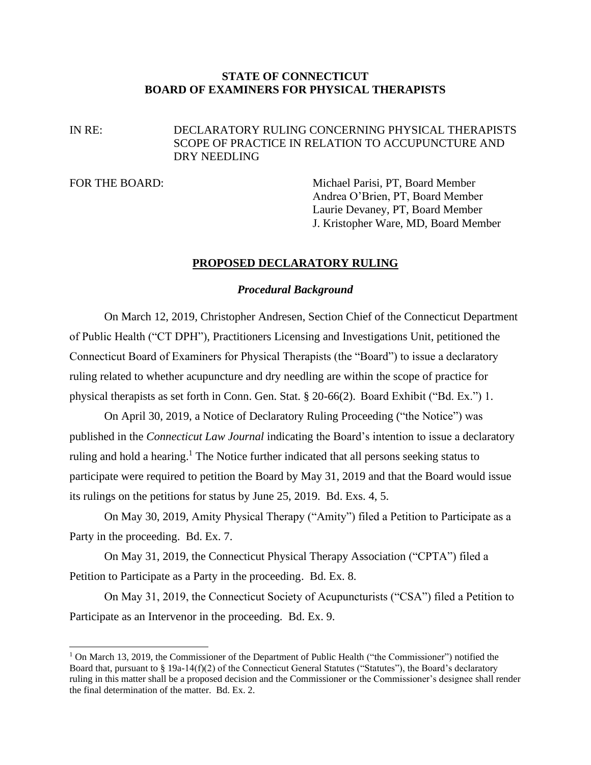# **STATE OF CONNECTICUT BOARD OF EXAMINERS FOR PHYSICAL THERAPISTS**

# IN RE: DECLARATORY RULING CONCERNING PHYSICAL THERAPISTS SCOPE OF PRACTICE IN RELATION TO ACCUPUNCTURE AND DRY NEEDLING

FOR THE BOARD: Michael Parisi, PT, Board Member Andrea O'Brien, PT, Board Member Laurie Devaney, PT, Board Member J. Kristopher Ware, MD, Board Member

# **PROPOSED DECLARATORY RULING**

### *Procedural Background*

On March 12, 2019, Christopher Andresen, Section Chief of the Connecticut Department of Public Health ("CT DPH"), Practitioners Licensing and Investigations Unit, petitioned the Connecticut Board of Examiners for Physical Therapists (the "Board") to issue a declaratory ruling related to whether acupuncture and dry needling are within the scope of practice for physical therapists as set forth in Conn. Gen. Stat. § 20-66(2). Board Exhibit ("Bd. Ex.") 1.

On April 30, 2019, a Notice of Declaratory Ruling Proceeding ("the Notice") was published in the *Connecticut Law Journal* indicating the Board's intention to issue a declaratory ruling and hold a hearing.<sup>1</sup> The Notice further indicated that all persons seeking status to participate were required to petition the Board by May 31, 2019 and that the Board would issue its rulings on the petitions for status by June 25, 2019. Bd. Exs. 4, 5.

On May 30, 2019, Amity Physical Therapy ("Amity") filed a Petition to Participate as a Party in the proceeding. Bd. Ex. 7.

On May 31, 2019, the Connecticut Physical Therapy Association ("CPTA") filed a Petition to Participate as a Party in the proceeding. Bd. Ex. 8.

On May 31, 2019, the Connecticut Society of Acupuncturists ("CSA") filed a Petition to Participate as an Intervenor in the proceeding. Bd. Ex. 9.

 $1$  On March 13, 2019, the Commissioner of the Department of Public Health ("the Commissioner") notified the Board that, pursuant to § 19a-14(f)(2) of the Connecticut General Statutes ("Statutes"), the Board's declaratory ruling in this matter shall be a proposed decision and the Commissioner or the Commissioner's designee shall render the final determination of the matter. Bd. Ex. 2.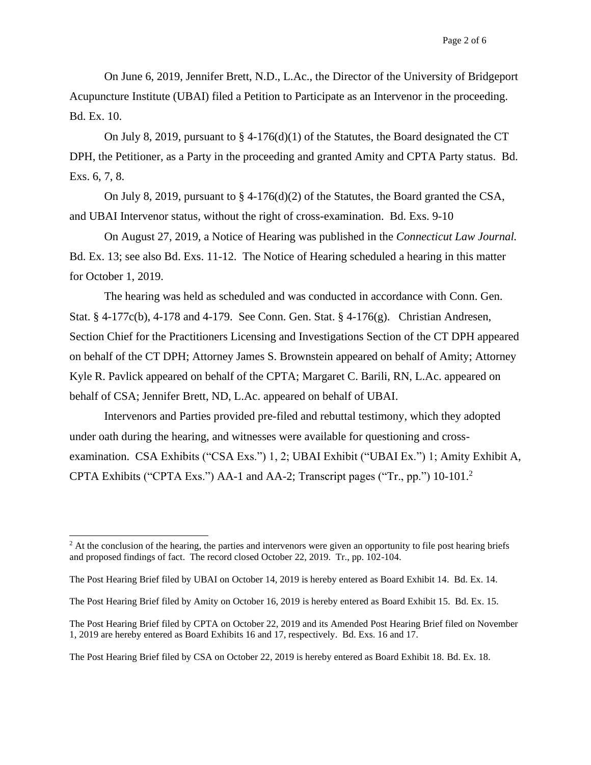On June 6, 2019, Jennifer Brett, N.D., L.Ac., the Director of the University of Bridgeport Acupuncture Institute (UBAI) filed a Petition to Participate as an Intervenor in the proceeding. Bd. Ex. 10.

On July 8, 2019, pursuant to  $\S 4-176(d)(1)$  of the Statutes, the Board designated the CT DPH, the Petitioner, as a Party in the proceeding and granted Amity and CPTA Party status. Bd. Exs. 6, 7, 8.

On July 8, 2019, pursuant to § 4-176(d)(2) of the Statutes, the Board granted the CSA, and UBAI Intervenor status, without the right of cross-examination. Bd. Exs. 9-10

On August 27, 2019, a Notice of Hearing was published in the *Connecticut Law Journal.*  Bd. Ex. 13; see also Bd. Exs. 11-12. The Notice of Hearing scheduled a hearing in this matter for October 1, 2019.

The hearing was held as scheduled and was conducted in accordance with Conn. Gen. Stat. § 4-177c(b), 4-178 and 4-179. See Conn. Gen. Stat. § 4-176(g). Christian Andresen, Section Chief for the Practitioners Licensing and Investigations Section of the CT DPH appeared on behalf of the CT DPH; Attorney James S. Brownstein appeared on behalf of Amity; Attorney Kyle R. Pavlick appeared on behalf of the CPTA; Margaret C. Barili, RN, L.Ac. appeared on behalf of CSA; Jennifer Brett, ND, L.Ac. appeared on behalf of UBAI.

Intervenors and Parties provided pre-filed and rebuttal testimony, which they adopted under oath during the hearing, and witnesses were available for questioning and crossexamination. CSA Exhibits ("CSA Exs.") 1, 2; UBAI Exhibit ("UBAI Ex.") 1; Amity Exhibit A, CPTA Exhibits ("CPTA Exs.") AA-1 and AA-2; Transcript pages ("Tr., pp.") 10-101. 2

The Post Hearing Brief filed by CSA on October 22, 2019 is hereby entered as Board Exhibit 18. Bd. Ex. 18.

 $<sup>2</sup>$  At the conclusion of the hearing, the parties and intervenors were given an opportunity to file post hearing briefs</sup> and proposed findings of fact. The record closed October 22, 2019. Tr., pp. 102-104.

The Post Hearing Brief filed by UBAI on October 14, 2019 is hereby entered as Board Exhibit 14. Bd. Ex. 14.

The Post Hearing Brief filed by Amity on October 16, 2019 is hereby entered as Board Exhibit 15. Bd. Ex. 15.

The Post Hearing Brief filed by CPTA on October 22, 2019 and its Amended Post Hearing Brief filed on November 1, 2019 are hereby entered as Board Exhibits 16 and 17, respectively. Bd. Exs. 16 and 17.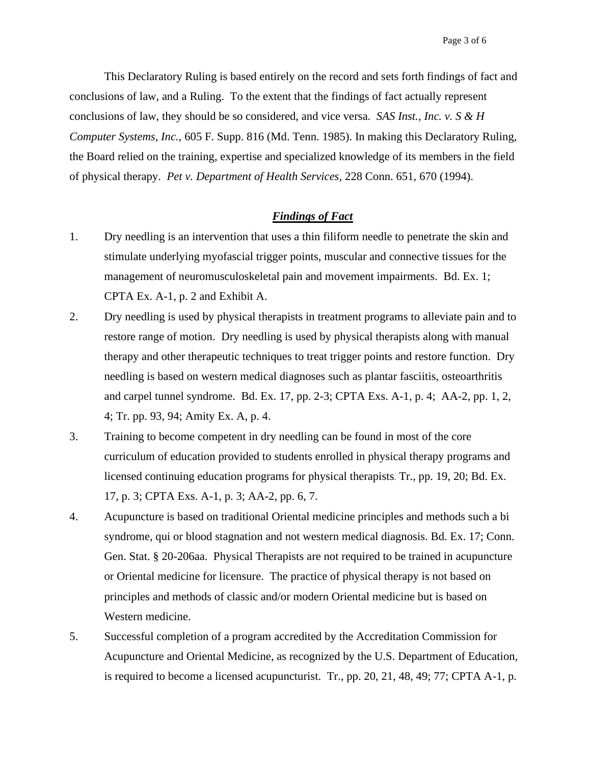This Declaratory Ruling is based entirely on the record and sets forth findings of fact and conclusions of law, and a Ruling. To the extent that the findings of fact actually represent conclusions of law, they should be so considered, and vice versa. *SAS Inst., Inc. v. S & H Computer Systems, Inc.*, 605 F. Supp. 816 (Md. Tenn. 1985). In making this Declaratory Ruling, the Board relied on the training, expertise and specialized knowledge of its members in the field of physical therapy. *Pet v. Department of Health Services,* 228 Conn. 651, 670 (1994).

### *Findings of Fact*

- 1. Dry needling is an intervention that uses a thin filiform needle to penetrate the skin and stimulate underlying myofascial trigger points, muscular and connective tissues for the management of neuromusculoskeletal pain and movement impairments. Bd. Ex. 1; CPTA Ex. A-1, p. 2 and Exhibit A.
- 2. Dry needling is used by physical therapists in treatment programs to alleviate pain and to restore range of motion. Dry needling is used by physical therapists along with manual therapy and other therapeutic techniques to treat trigger points and restore function. Dry needling is based on western medical diagnoses such as plantar fasciitis, osteoarthritis and carpel tunnel syndrome. Bd. Ex. 17, pp. 2-3; CPTA Exs. A-1, p. 4; AA-2, pp. 1, 2, 4; Tr. pp. 93, 94; Amity Ex. A, p. 4.
- 3. Training to become competent in dry needling can be found in most of the core curriculum of education provided to students enrolled in physical therapy programs and licensed continuing education programs for physical therapists. Tr., pp. 19, 20; Bd. Ex. 17, p. 3; CPTA Exs. A-1, p. 3; AA-2, pp. 6, 7.
- 4. Acupuncture is based on traditional Oriental medicine principles and methods such a bi syndrome, qui or blood stagnation and not western medical diagnosis. Bd. Ex. 17; Conn. Gen. Stat. § 20-206aa. Physical Therapists are not required to be trained in acupuncture or Oriental medicine for licensure. The practice of physical therapy is not based on principles and methods of classic and/or modern Oriental medicine but is based on Western medicine.
- 5. Successful completion of a program accredited by the Accreditation Commission for Acupuncture and Oriental Medicine, as recognized by the U.S. Department of Education, is required to become a licensed acupuncturist. Tr., pp. 20, 21, 48, 49; 77; CPTA A-1, p.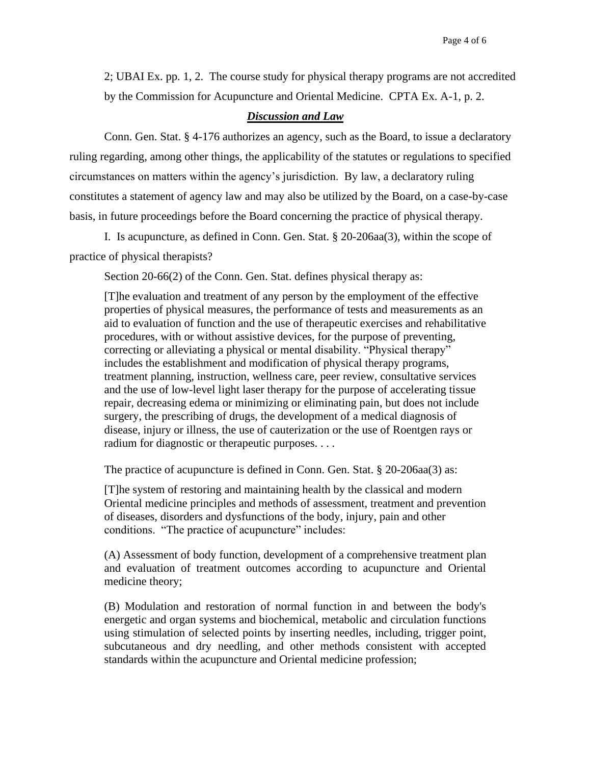2; UBAI Ex. pp. 1, 2. The course study for physical therapy programs are not accredited by the Commission for Acupuncture and Oriental Medicine. CPTA Ex. A-1, p. 2.

# *Discussion and Law*

Conn. Gen. Stat. § 4-176 authorizes an agency, such as the Board, to issue a declaratory ruling regarding, among other things, the applicability of the statutes or regulations to specified circumstances on matters within the agency's jurisdiction. By law, a declaratory ruling constitutes a statement of agency law and may also be utilized by the Board, on a case-by-case basis, in future proceedings before the Board concerning the practice of physical therapy.

I. Is acupuncture, as defined in Conn. Gen. Stat. § 20-206aa(3), within the scope of practice of physical therapists?

Section 20-66(2) of the Conn. Gen. Stat. defines physical therapy as:

[T]he evaluation and treatment of any person by the employment of the effective properties of physical measures, the performance of tests and measurements as an aid to evaluation of function and the use of therapeutic exercises and rehabilitative procedures, with or without assistive devices, for the purpose of preventing, correcting or alleviating a physical or mental disability. "Physical therapy" includes the establishment and modification of physical therapy programs, treatment planning, instruction, wellness care, peer review, consultative services and the use of low-level light laser therapy for the purpose of accelerating tissue repair, decreasing edema or minimizing or eliminating pain, but does not include surgery, the prescribing of drugs, the development of a medical diagnosis of disease, injury or illness, the use of cauterization or the use of Roentgen rays or radium for diagnostic or therapeutic purposes....

The practice of acupuncture is defined in Conn. Gen. Stat. § 20-206aa(3) as:

[T]he system of restoring and maintaining health by the classical and modern Oriental medicine principles and methods of assessment, treatment and prevention of diseases, disorders and dysfunctions of the body, injury, pain and other conditions. "The practice of acupuncture" includes:

(A) Assessment of body function, development of a comprehensive treatment plan and evaluation of treatment outcomes according to acupuncture and Oriental medicine theory;

(B) Modulation and restoration of normal function in and between the body's energetic and organ systems and biochemical, metabolic and circulation functions using stimulation of selected points by inserting needles, including, trigger point, subcutaneous and dry needling, and other methods consistent with accepted standards within the acupuncture and Oriental medicine profession;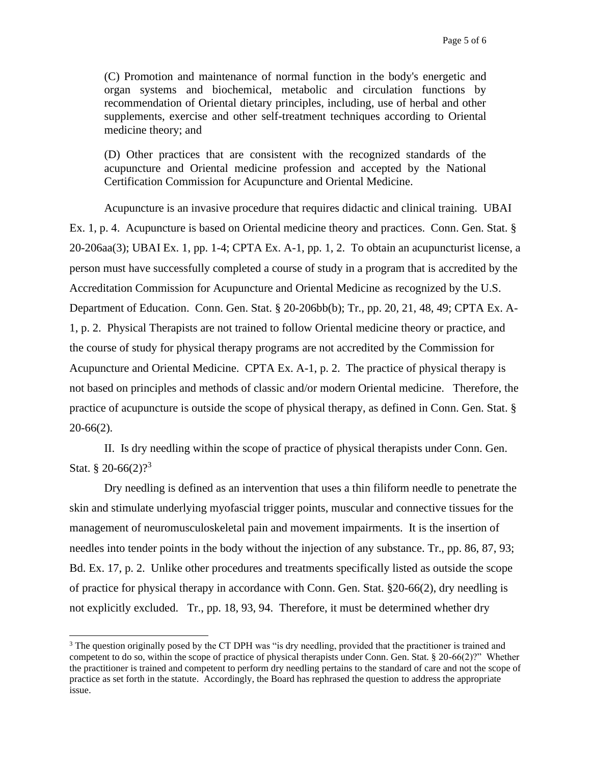(C) Promotion and maintenance of normal function in the body's energetic and organ systems and biochemical, metabolic and circulation functions by recommendation of Oriental dietary principles, including, use of herbal and other supplements, exercise and other self-treatment techniques according to Oriental medicine theory; and

(D) Other practices that are consistent with the recognized standards of the acupuncture and Oriental medicine profession and accepted by the National Certification Commission for Acupuncture and Oriental Medicine.

Acupuncture is an invasive procedure that requires didactic and clinical training. UBAI Ex. 1, p. 4. Acupuncture is based on Oriental medicine theory and practices. Conn. Gen. Stat. § 20-206aa(3); UBAI Ex. 1, pp. 1-4; CPTA Ex. A-1, pp. 1, 2. To obtain an acupuncturist license, a person must have successfully completed a course of study in a program that is accredited by the Accreditation Commission for Acupuncture and Oriental Medicine as recognized by the U.S. Department of Education. Conn. Gen. Stat. § 20-206bb(b); Tr., pp. 20, 21, 48, 49; CPTA Ex. A-1, p. 2. Physical Therapists are not trained to follow Oriental medicine theory or practice, and the course of study for physical therapy programs are not accredited by the Commission for Acupuncture and Oriental Medicine. CPTA Ex. A-1, p. 2. The practice of physical therapy is not based on principles and methods of classic and/or modern Oriental medicine. Therefore, the practice of acupuncture is outside the scope of physical therapy, as defined in Conn. Gen. Stat. § 20-66(2).

II. Is dry needling within the scope of practice of physical therapists under Conn. Gen. Stat. § 20-66 $(2)$ ?<sup>3</sup>

Dry needling is defined as an intervention that uses a thin filiform needle to penetrate the skin and stimulate underlying myofascial trigger points, muscular and connective tissues for the management of neuromusculoskeletal pain and movement impairments. It is the insertion of needles into tender points in the body without the injection of any substance. Tr., pp. 86, 87, 93; Bd. Ex. 17, p. 2. Unlike other procedures and treatments specifically listed as outside the scope of practice for physical therapy in accordance with Conn. Gen. Stat. §20-66(2), dry needling is not explicitly excluded. Tr., pp. 18, 93, 94. Therefore, it must be determined whether dry

<sup>&</sup>lt;sup>3</sup> The question originally posed by the CT DPH was "is dry needling, provided that the practitioner is trained and competent to do so, within the scope of practice of physical therapists under Conn. Gen. Stat. § 20-66(2)?" Whether the practitioner is trained and competent to perform dry needling pertains to the standard of care and not the scope of practice as set forth in the statute. Accordingly, the Board has rephrased the question to address the appropriate issue.